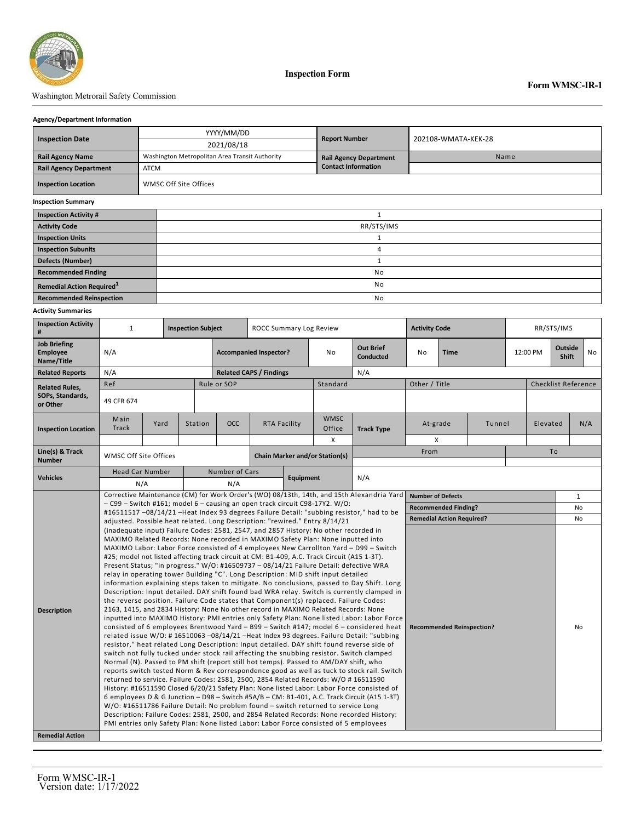

**Inspection Form**

## Washington Metrorail Safety Commission

### **Agency/Department Information**

|                                              |                       | YYYY/MM/DD                                     |                               |                     |  |  |  |  |  |
|----------------------------------------------|-----------------------|------------------------------------------------|-------------------------------|---------------------|--|--|--|--|--|
| <b>Inspection Date</b>                       |                       | 2021/08/18                                     | <b>Report Number</b>          | 202108-WMATA-KEK-28 |  |  |  |  |  |
|                                              |                       |                                                |                               |                     |  |  |  |  |  |
| <b>Rail Agency Name</b>                      |                       | Washington Metropolitan Area Transit Authority | <b>Rail Agency Department</b> | Name                |  |  |  |  |  |
| <b>Rail Agency Department</b>                | ATCM                  |                                                | <b>Contact Information</b>    |                     |  |  |  |  |  |
| <b>Inspection Location</b>                   | WMSC Off Site Offices |                                                |                               |                     |  |  |  |  |  |
| <b>Inspection Summary</b>                    |                       |                                                |                               |                     |  |  |  |  |  |
| <b>Inspection Activity #</b>                 |                       |                                                |                               |                     |  |  |  |  |  |
| <b>Activity Code</b>                         |                       | RR/STS/IMS                                     |                               |                     |  |  |  |  |  |
| <b>Inspection Units</b>                      |                       |                                                |                               |                     |  |  |  |  |  |
| <b>Inspection Subunits</b>                   |                       | 4                                              |                               |                     |  |  |  |  |  |
| <b>Defects (Number)</b>                      |                       |                                                |                               |                     |  |  |  |  |  |
| <b>Recommended Finding</b>                   |                       | No                                             |                               |                     |  |  |  |  |  |
| <b>Remedial Action Required</b> <sup>1</sup> |                       | No                                             |                               |                     |  |  |  |  |  |
| <b>Recommended Reinspection</b>              |                       | <b>No</b>                                      |                               |                     |  |  |  |  |  |

### **Activity Summaries**

| <b>Job Briefing</b><br><b>Out Brief</b><br>Outside<br>N/A<br><b>Employee</b><br><b>Accompanied Inspector?</b><br><b>Time</b><br>12:00 PM<br>N <sub>o</sub><br>No<br>No<br><b>Conducted</b><br><b>Shift</b><br>Name/Title<br>N/A<br><b>Related Reports</b><br>N/A<br><b>Related CAPS / Findings</b><br>Other / Title<br><b>Checklist Reference</b><br>Ref<br>Rule or SOP<br>Standard<br><b>Related Rules.</b><br>SOPs, Standards,<br>49 CFR 674<br>or Other<br><b>WMSC</b><br>Main<br>Yard<br>OCC<br><b>RTA Facility</b><br>N/A<br>Station<br>At-grade<br>Tunnel<br>Elevated<br><b>Track</b><br>Office<br><b>Track Type</b><br><b>Inspection Location</b><br>X<br>X<br>To<br>Line(s) & Track<br>From<br>WMSC Off Site Offices<br><b>Chain Marker and/or Station(s)</b><br><b>Number</b><br><b>Head Car Number</b><br>Number of Cars<br>N/A<br><b>Vehicles</b><br><b>Equipment</b><br>N/A<br>N/A<br>Corrective Maintenance (CM) for Work Order's (WO) 08/13th, 14th, and 15th Alexandria Yard<br><b>Number of Defects</b><br>$\mathbf{1}$<br>$-$ C99 – Switch #161; model 6 – causing an open track circuit C98-17Y2. W/O:<br><b>Recommended Finding?</b><br><b>No</b><br>#16511517 -08/14/21 -Heat Index 93 degrees Failure Detail: "subbing resistor," had to be<br><b>Remedial Action Required?</b><br>No<br>adjusted. Possible heat related. Long Description: "rewired." Entry 8/14/21<br>(inadequate input) Failure Codes: 2581, 2547, and 2857 History: No other recorded in<br>MAXIMO Related Records: None recorded in MAXIMO Safety Plan: None inputted into<br>MAXIMO Labor: Labor Force consisted of 4 employees New Carrollton Yard - D99 - Switch<br>#25; model not listed affecting track circuit at CM: B1-409, A.C. Track Circuit (A15 1-3T).<br>Present Status; "in progress." W/O: #16509737 - 08/14/21 Failure Detail: defective WRA<br>relay in operating tower Building "C". Long Description: MID shift input detailed<br>information explaining steps taken to mitigate. No conclusions, passed to Day Shift. Long<br>Description: Input detailed. DAY shift found bad WRA relay. Switch is currently clamped in<br>the reverse position. Failure Code states that Component(s) replaced. Failure Codes:<br>2163, 1415, and 2834 History: None No other record in MAXIMO Related Records: None<br><b>Description</b><br>inputted into MAXIMO History: PMI entries only Safety Plan: None listed Labor: Labor Force<br>consisted of 6 employees Brentwood Yard - B99 - Switch #147; model 6 - considered heat<br><b>Recommended Reinspection?</b><br>No<br>related issue W/O: #16510063-08/14/21-Heat Index 93 degrees. Failure Detail: "subbing<br>resistor," heat related Long Description: Input detailed. DAY shift found reverse side of<br>switch not fully tucked under stock rail affecting the snubbing resistor. Switch clamped<br>Normal (N). Passed to PM shift (report still hot temps). Passed to AM/DAY shift, who<br>reports switch tested Norm & Rev correspondence good as well as tuck to stock rail. Switch<br>returned to service. Failure Codes: 2581, 2500, 2854 Related Records: W/O # 16511590<br>History: #16511590 Closed 6/20/21 Safety Plan: None listed Labor: Labor Force consisted of<br>6 employees D & G Junction - D98 - Switch #5A/B - CM: B1-401, A.C. Track Circuit (A15 1-3T)<br>W/O: #16511786 Failure Detail: No problem found - switch returned to service Long<br>Description: Failure Codes: 2581, 2500, and 2854 Related Records: None recorded History:<br>PMI entries only Safety Plan: None listed Labor: Labor Force consisted of 5 employees | <b>Inspection Activity</b><br># | $\mathbf{1}$ |  | <b>Inspection Subject</b> |  | <b>ROCC Summary Log Review</b> |  |  |  | <b>Activity Code</b> |  |  | RR/STS/IMS |  |  |  |  |  |
|---------------------------------------------------------------------------------------------------------------------------------------------------------------------------------------------------------------------------------------------------------------------------------------------------------------------------------------------------------------------------------------------------------------------------------------------------------------------------------------------------------------------------------------------------------------------------------------------------------------------------------------------------------------------------------------------------------------------------------------------------------------------------------------------------------------------------------------------------------------------------------------------------------------------------------------------------------------------------------------------------------------------------------------------------------------------------------------------------------------------------------------------------------------------------------------------------------------------------------------------------------------------------------------------------------------------------------------------------------------------------------------------------------------------------------------------------------------------------------------------------------------------------------------------------------------------------------------------------------------------------------------------------------------------------------------------------------------------------------------------------------------------------------------------------------------------------------------------------------------------------------------------------------------------------------------------------------------------------------------------------------------------------------------------------------------------------------------------------------------------------------------------------------------------------------------------------------------------------------------------------------------------------------------------------------------------------------------------------------------------------------------------------------------------------------------------------------------------------------------------------------------------------------------------------------------------------------------------------------------------------------------------------------------------------------------------------------------------------------------------------------------------------------------------------------------------------------------------------------------------------------------------------------------------------------------------------------------------------------------------------------------------------------------------------------------------------------------------------------------------------------------------------------------------------------------------------------------------------------------------------------------------------------------------------------------------------------------------------------------------------------------------------------------------------------------------------------------------------------------------------------------------------------------------------------------------------------------------------------------------|---------------------------------|--------------|--|---------------------------|--|--------------------------------|--|--|--|----------------------|--|--|------------|--|--|--|--|--|
|                                                                                                                                                                                                                                                                                                                                                                                                                                                                                                                                                                                                                                                                                                                                                                                                                                                                                                                                                                                                                                                                                                                                                                                                                                                                                                                                                                                                                                                                                                                                                                                                                                                                                                                                                                                                                                                                                                                                                                                                                                                                                                                                                                                                                                                                                                                                                                                                                                                                                                                                                                                                                                                                                                                                                                                                                                                                                                                                                                                                                                                                                                                                                                                                                                                                                                                                                                                                                                                                                                                                                                                                                     |                                 |              |  |                           |  |                                |  |  |  |                      |  |  |            |  |  |  |  |  |
|                                                                                                                                                                                                                                                                                                                                                                                                                                                                                                                                                                                                                                                                                                                                                                                                                                                                                                                                                                                                                                                                                                                                                                                                                                                                                                                                                                                                                                                                                                                                                                                                                                                                                                                                                                                                                                                                                                                                                                                                                                                                                                                                                                                                                                                                                                                                                                                                                                                                                                                                                                                                                                                                                                                                                                                                                                                                                                                                                                                                                                                                                                                                                                                                                                                                                                                                                                                                                                                                                                                                                                                                                     |                                 |              |  |                           |  |                                |  |  |  |                      |  |  |            |  |  |  |  |  |
|                                                                                                                                                                                                                                                                                                                                                                                                                                                                                                                                                                                                                                                                                                                                                                                                                                                                                                                                                                                                                                                                                                                                                                                                                                                                                                                                                                                                                                                                                                                                                                                                                                                                                                                                                                                                                                                                                                                                                                                                                                                                                                                                                                                                                                                                                                                                                                                                                                                                                                                                                                                                                                                                                                                                                                                                                                                                                                                                                                                                                                                                                                                                                                                                                                                                                                                                                                                                                                                                                                                                                                                                                     |                                 |              |  |                           |  |                                |  |  |  |                      |  |  |            |  |  |  |  |  |
|                                                                                                                                                                                                                                                                                                                                                                                                                                                                                                                                                                                                                                                                                                                                                                                                                                                                                                                                                                                                                                                                                                                                                                                                                                                                                                                                                                                                                                                                                                                                                                                                                                                                                                                                                                                                                                                                                                                                                                                                                                                                                                                                                                                                                                                                                                                                                                                                                                                                                                                                                                                                                                                                                                                                                                                                                                                                                                                                                                                                                                                                                                                                                                                                                                                                                                                                                                                                                                                                                                                                                                                                                     |                                 |              |  |                           |  |                                |  |  |  |                      |  |  |            |  |  |  |  |  |
|                                                                                                                                                                                                                                                                                                                                                                                                                                                                                                                                                                                                                                                                                                                                                                                                                                                                                                                                                                                                                                                                                                                                                                                                                                                                                                                                                                                                                                                                                                                                                                                                                                                                                                                                                                                                                                                                                                                                                                                                                                                                                                                                                                                                                                                                                                                                                                                                                                                                                                                                                                                                                                                                                                                                                                                                                                                                                                                                                                                                                                                                                                                                                                                                                                                                                                                                                                                                                                                                                                                                                                                                                     |                                 |              |  |                           |  |                                |  |  |  |                      |  |  |            |  |  |  |  |  |
|                                                                                                                                                                                                                                                                                                                                                                                                                                                                                                                                                                                                                                                                                                                                                                                                                                                                                                                                                                                                                                                                                                                                                                                                                                                                                                                                                                                                                                                                                                                                                                                                                                                                                                                                                                                                                                                                                                                                                                                                                                                                                                                                                                                                                                                                                                                                                                                                                                                                                                                                                                                                                                                                                                                                                                                                                                                                                                                                                                                                                                                                                                                                                                                                                                                                                                                                                                                                                                                                                                                                                                                                                     |                                 |              |  |                           |  |                                |  |  |  |                      |  |  |            |  |  |  |  |  |
|                                                                                                                                                                                                                                                                                                                                                                                                                                                                                                                                                                                                                                                                                                                                                                                                                                                                                                                                                                                                                                                                                                                                                                                                                                                                                                                                                                                                                                                                                                                                                                                                                                                                                                                                                                                                                                                                                                                                                                                                                                                                                                                                                                                                                                                                                                                                                                                                                                                                                                                                                                                                                                                                                                                                                                                                                                                                                                                                                                                                                                                                                                                                                                                                                                                                                                                                                                                                                                                                                                                                                                                                                     |                                 |              |  |                           |  |                                |  |  |  |                      |  |  |            |  |  |  |  |  |
|                                                                                                                                                                                                                                                                                                                                                                                                                                                                                                                                                                                                                                                                                                                                                                                                                                                                                                                                                                                                                                                                                                                                                                                                                                                                                                                                                                                                                                                                                                                                                                                                                                                                                                                                                                                                                                                                                                                                                                                                                                                                                                                                                                                                                                                                                                                                                                                                                                                                                                                                                                                                                                                                                                                                                                                                                                                                                                                                                                                                                                                                                                                                                                                                                                                                                                                                                                                                                                                                                                                                                                                                                     |                                 |              |  |                           |  |                                |  |  |  |                      |  |  |            |  |  |  |  |  |
|                                                                                                                                                                                                                                                                                                                                                                                                                                                                                                                                                                                                                                                                                                                                                                                                                                                                                                                                                                                                                                                                                                                                                                                                                                                                                                                                                                                                                                                                                                                                                                                                                                                                                                                                                                                                                                                                                                                                                                                                                                                                                                                                                                                                                                                                                                                                                                                                                                                                                                                                                                                                                                                                                                                                                                                                                                                                                                                                                                                                                                                                                                                                                                                                                                                                                                                                                                                                                                                                                                                                                                                                                     |                                 |              |  |                           |  |                                |  |  |  |                      |  |  |            |  |  |  |  |  |
|                                                                                                                                                                                                                                                                                                                                                                                                                                                                                                                                                                                                                                                                                                                                                                                                                                                                                                                                                                                                                                                                                                                                                                                                                                                                                                                                                                                                                                                                                                                                                                                                                                                                                                                                                                                                                                                                                                                                                                                                                                                                                                                                                                                                                                                                                                                                                                                                                                                                                                                                                                                                                                                                                                                                                                                                                                                                                                                                                                                                                                                                                                                                                                                                                                                                                                                                                                                                                                                                                                                                                                                                                     |                                 |              |  |                           |  |                                |  |  |  |                      |  |  |            |  |  |  |  |  |
|                                                                                                                                                                                                                                                                                                                                                                                                                                                                                                                                                                                                                                                                                                                                                                                                                                                                                                                                                                                                                                                                                                                                                                                                                                                                                                                                                                                                                                                                                                                                                                                                                                                                                                                                                                                                                                                                                                                                                                                                                                                                                                                                                                                                                                                                                                                                                                                                                                                                                                                                                                                                                                                                                                                                                                                                                                                                                                                                                                                                                                                                                                                                                                                                                                                                                                                                                                                                                                                                                                                                                                                                                     |                                 |              |  |                           |  |                                |  |  |  |                      |  |  |            |  |  |  |  |  |
|                                                                                                                                                                                                                                                                                                                                                                                                                                                                                                                                                                                                                                                                                                                                                                                                                                                                                                                                                                                                                                                                                                                                                                                                                                                                                                                                                                                                                                                                                                                                                                                                                                                                                                                                                                                                                                                                                                                                                                                                                                                                                                                                                                                                                                                                                                                                                                                                                                                                                                                                                                                                                                                                                                                                                                                                                                                                                                                                                                                                                                                                                                                                                                                                                                                                                                                                                                                                                                                                                                                                                                                                                     |                                 |              |  |                           |  |                                |  |  |  |                      |  |  |            |  |  |  |  |  |
| <b>Remedial Action</b>                                                                                                                                                                                                                                                                                                                                                                                                                                                                                                                                                                                                                                                                                                                                                                                                                                                                                                                                                                                                                                                                                                                                                                                                                                                                                                                                                                                                                                                                                                                                                                                                                                                                                                                                                                                                                                                                                                                                                                                                                                                                                                                                                                                                                                                                                                                                                                                                                                                                                                                                                                                                                                                                                                                                                                                                                                                                                                                                                                                                                                                                                                                                                                                                                                                                                                                                                                                                                                                                                                                                                                                              |                                 |              |  |                           |  |                                |  |  |  |                      |  |  |            |  |  |  |  |  |